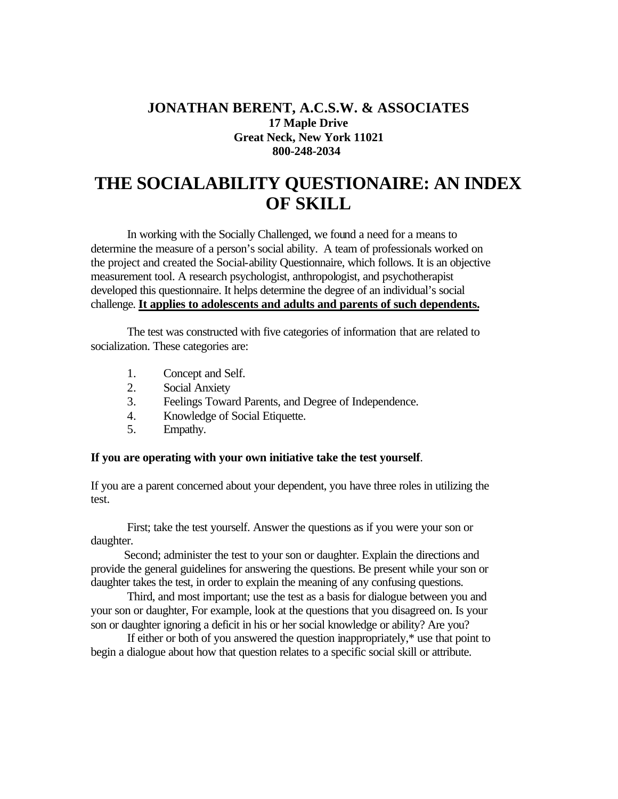## **JONATHAN BERENT, A.C.S.W. & ASSOCIATES 17 Maple Drive Great Neck, New York 11021 800-248-2034**

## **THE SOCIALABILITY QUESTIONAIRE: AN INDEX OF SKILL**

In working with the Socially Challenged, we found a need for a means to determine the measure of a person's social ability. A team of professionals worked on the project and created the Social-ability Questionnaire, which follows. It is an objective measurement tool. A research psychologist, anthropologist, and psychotherapist developed this questionnaire. It helps determine the degree of an individual's social challenge. **It applies to adolescents and adults and parents of such dependents.**

The test was constructed with five categories of information that are related to socialization. These categories are:

- 1. Concept and Self.
- 2. Social Anxiety
- 3. Feelings Toward Parents, and Degree of Independence.
- 4. Knowledge of Social Etiquette.
- 5. Empathy.

## **If you are operating with your own initiative take the test yourself**.

If you are a parent concerned about your dependent, you have three roles in utilizing the test.

 First; take the test yourself. Answer the questions as if you were your son or daughter.

 Second; administer the test to your son or daughter. Explain the directions and provide the general guidelines for answering the questions. Be present while your son or daughter takes the test, in order to explain the meaning of any confusing questions.

Third, and most important; use the test as a basis for dialogue between you and your son or daughter, For example, look at the questions that you disagreed on. Is your son or daughter ignoring a deficit in his or her social knowledge or ability? Are you?

If either or both of you answered the question inappropriately,\* use that point to begin a dialogue about how that question relates to a specific social skill or attribute.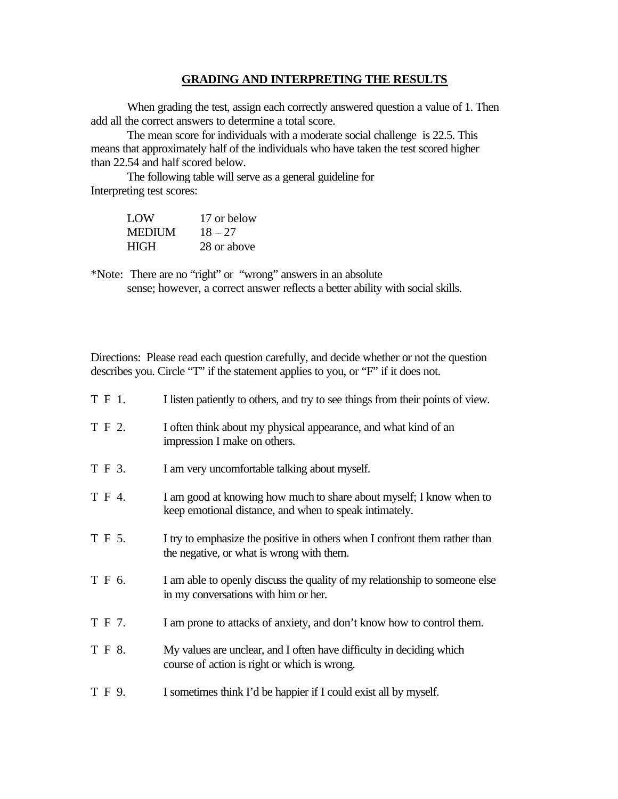## **GRADING AND INTERPRETING THE RESULTS**

When grading the test, assign each correctly answered question a value of 1. Then add all the correct answers to determine a total score.

The mean score for individuals with a moderate social challenge is 22.5. This means that approximately half of the individuals who have taken the test scored higher than 22.54 and half scored below.

The following table will serve as a general guideline for Interpreting test scores:

| LOW           | 17 or below |
|---------------|-------------|
| <b>MEDIUM</b> | $18 - 27$   |
| <b>HIGH</b>   | 28 or above |

\*Note: There are no "right" or "wrong" answers in an absolute sense; however, a correct answer reflects a better ability with social skills.

Directions: Please read each question carefully, and decide whether or not the question describes you. Circle "T" if the statement applies to you, or "F" if it does not.

| T F 1. | I listen patiently to others, and try to see things from their points of view.                                                |
|--------|-------------------------------------------------------------------------------------------------------------------------------|
| T F 2. | I often think about my physical appearance, and what kind of an<br>impression I make on others.                               |
| T F 3. | I am very uncomfortable talking about myself.                                                                                 |
| T F 4. | I am good at knowing how much to share about myself; I know when to<br>keep emotional distance, and when to speak intimately. |
| T F 5. | I try to emphasize the positive in others when I confront them rather than<br>the negative, or what is wrong with them.       |
| T F 6. | I am able to openly discuss the quality of my relationship to someone else<br>in my conversations with him or her.            |
| T F 7. | I am prone to attacks of anxiety, and don't know how to control them.                                                         |
| T F 8. | My values are unclear, and I often have difficulty in deciding which<br>course of action is right or which is wrong.          |
| T F 9. | I sometimes think I'd be happier if I could exist all by myself.                                                              |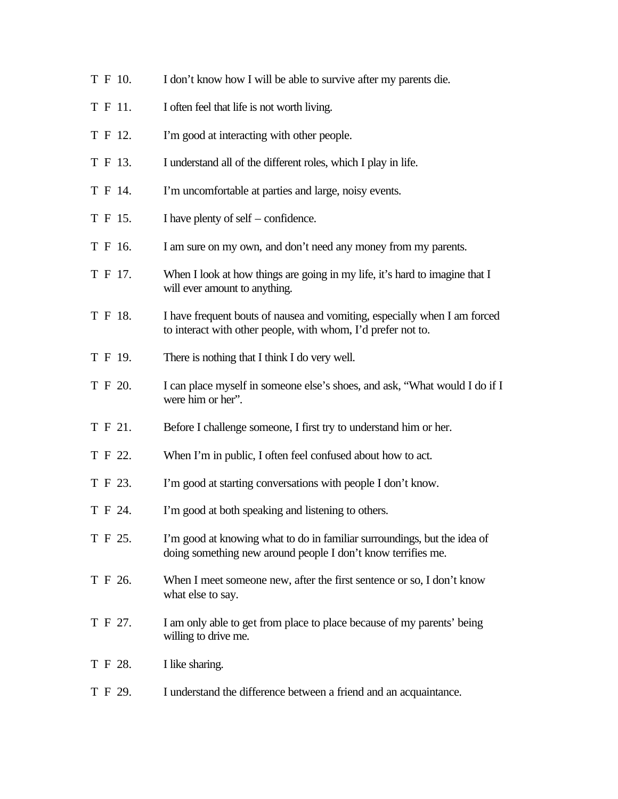T F 10. I don't know how I will be able to survive after my parents die. T F 11. I often feel that life is not worth living. T F 12. I'm good at interacting with other people. T F 13. I understand all of the different roles, which I play in life. T F 14. I'm uncomfortable at parties and large, noisy events. T F 15. I have plenty of self – confidence. T F 16. I am sure on my own, and don't need any money from my parents. T F 17. When I look at how things are going in my life, it's hard to imagine that I will ever amount to anything. T F 18. I have frequent bouts of nausea and vomiting, especially when I am forced to interact with other people, with whom, I'd prefer not to. T F 19. There is nothing that I think I do very well. T F 20. I can place myself in someone else's shoes, and ask, "What would I do if I were him or her". T F 21. Before I challenge someone, I first try to understand him or her. T F 22. When I'm in public, I often feel confused about how to act. T F 23. I'm good at starting conversations with people I don't know. T F 24. I'm good at both speaking and listening to others. T F 25. I'm good at knowing what to do in familiar surroundings, but the idea of doing something new around people I don't know terrifies me. T F 26. When I meet someone new, after the first sentence or so, I don't know what else to say. T F 27. I am only able to get from place to place because of my parents' being willing to drive me. T F 28. I like sharing. T F 29. I understand the difference between a friend and an acquaintance.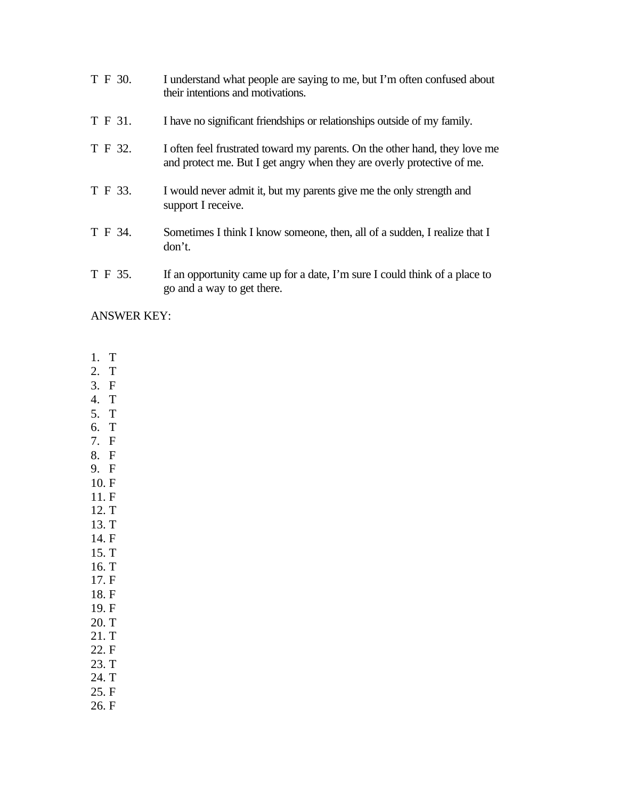| T F 30. | I understand what people are saying to me, but I'm often confused about<br>their intentions and motivations.                                         |
|---------|------------------------------------------------------------------------------------------------------------------------------------------------------|
| T F 31. | I have no significant friendships or relationships outside of my family.                                                                             |
| T F 32. | I often feel frustrated toward my parents. On the other hand, they love me<br>and protect me. But I get angry when they are overly protective of me. |
| T F 33. | I would never admit it, but my parents give me the only strength and<br>support I receive.                                                           |
| T F 34. | Sometimes I think I know someone, then, all of a sudden, I realize that I<br>don't.                                                                  |
| T F 35. | If an opportunity came up for a date, I'm sure I could think of a place to<br>go and a way to get there.                                             |

ANSWER KEY:

- 1. T
- 2. T
- 3. F
- 4. T
- 5. T 6. T
- 7. F
- 8. F
- 9. F
- 10. F
- 11. F
- 12. T 13. T
- 14. F
- 15. T
- 16. T
- 17. F
- 18. F
- 19. F
- 20. T
- 21. T 22. F
- 23. T
- 24. T
- 25. F
- 26. F